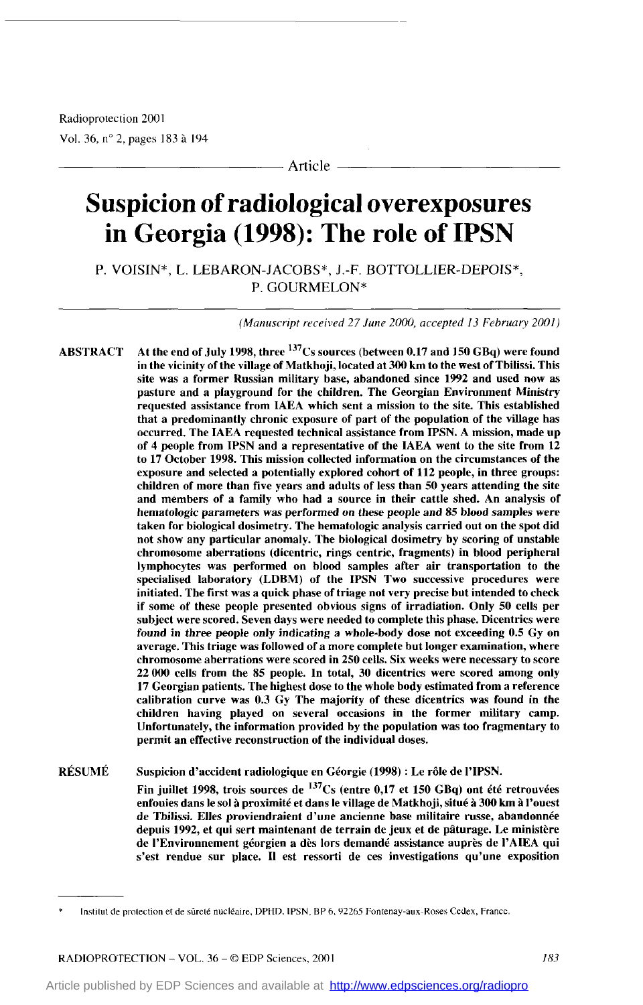Radioprotection 2001 Vol. 36, n° 2, pages 183 à 194

#### Article

# Suspicion of radiological overexposures in Georgia (1998): The role of IPSN

P. VOISIN\*, L. LEBARON-JACOBS", J.-F. BOTTOLLIER-DEPOIS", P. GOURMELON\*

*(Munuscript rrceived* 27 *June 2w0, accepted 13 Fehruary 2001)* 

At the end of July **1998,** three **13'Çs** sources (between **0.17** and **150** GBq) were found in the vicinity of the village of Matkhoji, located at **300** km to the West of Tbilissi. This site waî a former Russian military base, ahandoned since **1992** and used now **as**  Pasture and a playground for the children. The Georgian Environment Ministry requested assistance from IAEA which sent a mission **ta** the site. This established that a predominantly chronic exposure of part of the population of the village has occurred. The IAEA requested technical assistance from IPSN. A mission, made up of **4** people from IPSN and a representative of the IAEA went to the site from **12**  to **17** Octoher **1998.** This mission collected information on the circumstances of the exposure and selected a potentially explored cohorî of **112** people, in three groups: children of more than five years and adults of less than 50 years attending the site and members of a family Who had a source in their cattle shed. An analysis of hematologic parameters was performed on these people and *85* blood samples were taken for hiological dosimetry. The hematologic analysis carried out on the spot did not show any particular anomaly. The biological dosimetry by scoring of unstable chromosome aberrations (dicentric, rings centric, fragments) **in** blood penpheral lymphocytes was performed on hlocd samples after air transportation to the specialised laboratory (LDBM) of the IPSN Two successive procedures were initiated. The first was a quick phase of triage not very precise but intended ta check if some of these people presented ohvious signs of irradiation. Only **50** cells per subject were scored. Seven days were needed to complete this phase. Dicentrics were found in three people only indicating a whole-body dose not exceeding **0.5** Gy on average. This triage was followed of a more complete but longer examination, where chromosome aberrations were scored in *250* cells. Six weeks were necessary to score **22** *O00* cells from the **85** people. In total, **30** dicentria were scored among only 17 Georgian patients. The highest dose to the whole body estimated from a reference calibration curve was 0.3 Gy The majonty of these dicentrics was found in the children having played on several occasions in the former military camp. Unfortunately, the information provided hy the population was too fragmentary to permit an effective reconstruction of the individual doses. ABSTRACT

Suspicion d'accident radiologique en Géorgie **(1998)** : **Le** rôle de I'IPSN. Fin juillet **1998,** trois sources de **13'Çs** (entre **0,17** et **150** GBq) ont été retrouvées enfouies dans le **sol** à proximité et dans le village de Matkhoji, sihi6 à *300* **km A** l'ouest de Tbilissi. Elles proviendraient d'une ancienne base militaire russe, abandonnée depuis **1992,** et qui sert maintenant de terrain de jeux et de pâturage. **Le** ministère de l'Environnement géorgien a dès lors demandé assistance auprès de I'AIEA qui RÉSUMÉ

s'est rendue sur place. II est ressorti de ces investigations qu'une exposition

RADIOPROTECTION – VOL. 36 – © EDP Sciences, 2001 **183** 

<sup>\*</sup> Instiiut **de** proieclion et de **sûrclé** nucléaire, DPHD, **IPSN,** BP 6. **92265** Fontenay-aux-Roses **Cedex.** Francc.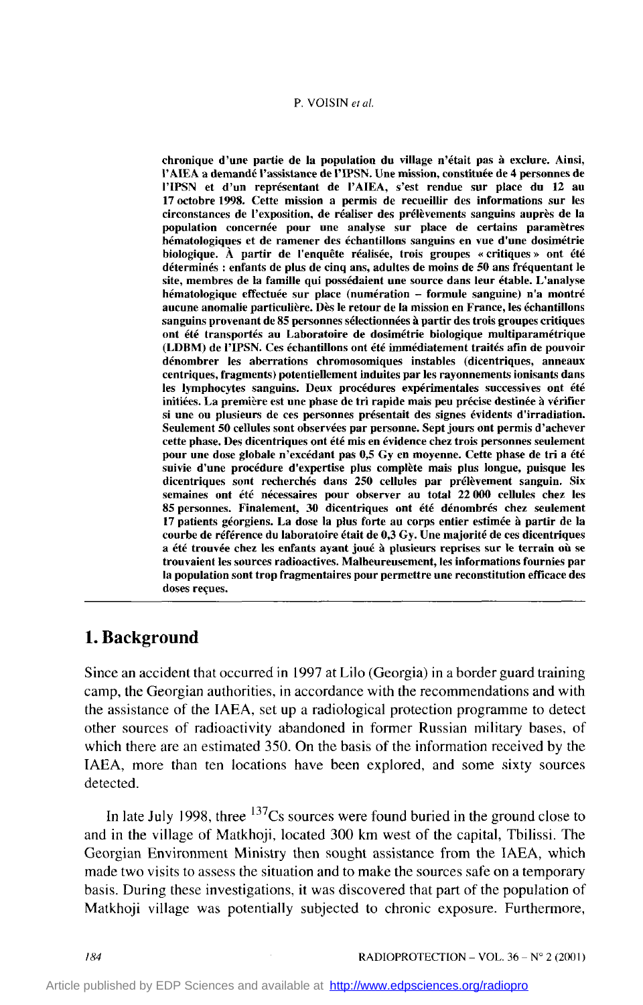#### **P.** VOISIN et al.

chronique d'une partie de la population du village n'était pas a exclure. Ainsi, I'AIEA a demandé l'assistance de I'IPSN. Une mission, constituée de **4** personnes de **I'IPSN** et d'un représentant de I'AIEA, s'est rendue sur place du **12** au **17** octobre **1998.** Cette mision a permis de recueillir des informations sur les circonstances de l'exposition, de réaliser des prélèvements sanguin3 auprès de la population concernée pour une analyse sur place de certains paramètres hématologiques et de ramener des échantillons sanguins en vue d'une dosimétrie biologique. À partir de l'enquête réalisée, trois groupes « critiques » ont été déterminés : enfants de plus de cinq ans, adultes de moins de **50** ans fréquentant le site, membres de la famille qui possédaient une source dans leur étable. L'analyse hématologique effectuée sur place (numération - formule sanguine) n'a montré aucune anomalie particulière. Dès le retour de la mission en France, les échantillons sanguins provenant de **85** personnes sélectionnées à partir des trois groupes critiques ont été transportés au Laboratoire de dosimétrie biologique multiparamétrique (LDBM) de **I'iPSN.** Ces échantillons ont été immédiatement traités afin de pouvoir dénombrer les aberrations chromosomiques instables (dicentriques, anneaux centriques, fragmene) potentiellement induites par les rayonnements ionisants dans les lymphocytes sanguins. Deux procédures expérimentales successives ont été initiées. La première est une phase de tri rapide mais peu précise destinée à vérifier si une ou plusieurs de ces personnes présentait des signes évidents d'irradiation. Seulement *50* cellules sont observées par personne. Sept jours ont permis d'achever cette phase. Des dicentriques ont été mis en évidence chez trois personnes seulement pour une dose globale n'excédant pas **0,5** Gy en moyenne. Cette phase de tri a été suivie d'une procédure d'expertise plus complète mais plus longue, puisque les dicentriques sont recherchés dans **250** cellules par prélèvement sanguin. Six semaines ont été nécessaires pour observer au total **22000** cellules chez **les 85** personnes. Finalement, **30** dicentriques ont été dénombrés chez seulement *17* patients géorgiens. La dose la plus forte au corps entier estimée a partir de la courbe de référence du laboratoire était de 0,3 Gy. Une majorité de ces dicentriques a été trouvée chez les enfants ayant joué à plusieurs reprises sur le terrain où se trouvaient les sources radioactives. Malheureusement, les informations fournies par la population sont trop fragmentaires pour permettre une reconstitution efficace des doses reçues.

## **1. Background**

Since an accident that occurred in 1997 at Lilo (Georgia) in a border guard training camp, the Georgian authorities, in accordance with the recommendations and with the assistance of the IAEA, set up a radiological protection programme to detect other sources of radioactivity abandoned in former Russian military bases, of which there are an estimated 350. On the basis of the information received by the IAEA, more than ten locations have been explored, and some sixty sources detected.

In late July 1998, three  $137Cs$  sources were found buried in the ground close to and in the village of Matkhoji, located *300* km West of the capital, Tbilissi. The Georgian Environment Ministry then sought assistance from the IAEA, which made two visits to assess the situation and to make the sources safe on a temporary basis. During these investigations, it was discovered that part of the population of Matkhoji village was potentially subjected to chronic exposure. Furthermore,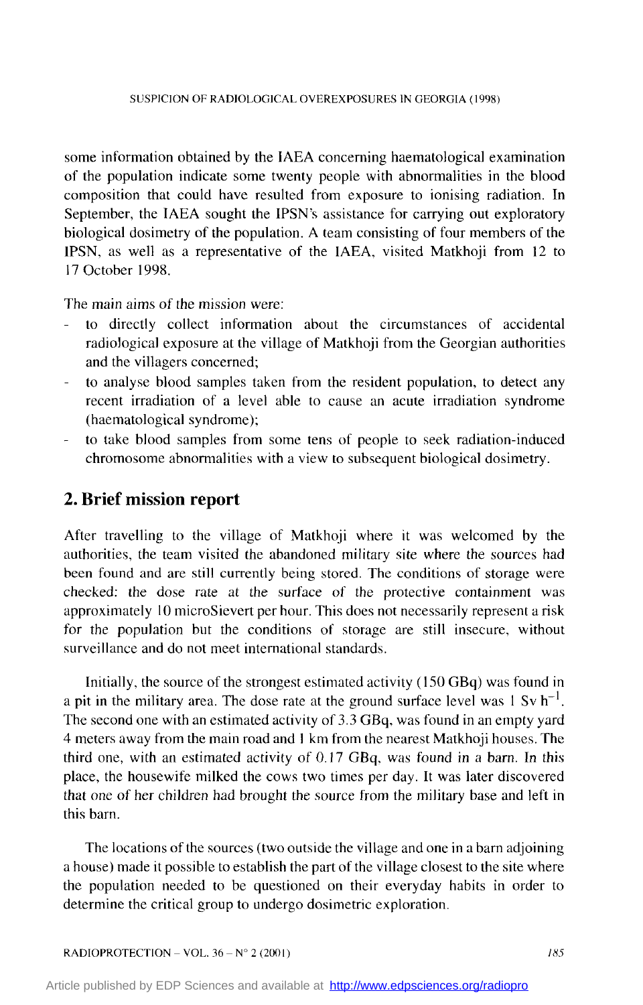some information obtained by the IAEA conceming haematological examination of the population indicate some twenty people with abnormalities in the blood composition that could have resulted from exposure to ionising radiation. In September, the IAEA sought the IPSN's assistance for carrying out exploratory biological dosimetry of the population. **A** team consisting of four members of the IPSN, as well as a representative of the **IAEA.** visited Matkhoji from 12 to 17 October 1998.

The main aims of the mission were:

- to directly collect information about the circumstances of accidental radiological exposure at the village of Matkhoji from the Georgian authorities and the villagers concerned;
- to analyse blood samples taken from the resident population, to detect any recent irradiation of a level able to cause an acute irradiation syndrome (haematological syndrome); -
- to take blood samples from some tens of people to seek radiation-induced chromosome abnormalities with a view to subsequent biological dosimetry. -

# **2. Brief mission report**

After travelling to the village of Matkhoji where it was welcomed by the authorities, the team visited the abandoned military site where the sources had been found and are still currently being stored. The conditions of storage were checked: the dose rate at the surface of the protective containment was approximately IO microSievert per hour. This does not necessarily represent a **risk**  for the population but the conditions of storage are still insecure, without surveillance and do not meet international standards.

Initially, the source of the strongest estimated activity (150 GBq) was found in a pit in the military area. The dose rate at the ground surface level was  $1 \text{ Sv } h^{-1}$ . The second one with an estimated activity of 3.3 GBq, was found in an empty yard 4 meters away from the main road and 1 km from the nearest Matkhoji houses. The third one, with an estimated activity of O. 17 **GBq.** was found in a barn. In this place, the housewife milked the cows two times per day. It was later discovered that one of her children had brought the source from the military base and left in this barn.

The locations of the sources (two outside the village and one in a barn adjoining a house) made it possible to establish the part of the village closest to the site where the population needed to be questioned on their everyday habits in order to determine the critical group to undergo dosimetric exploration.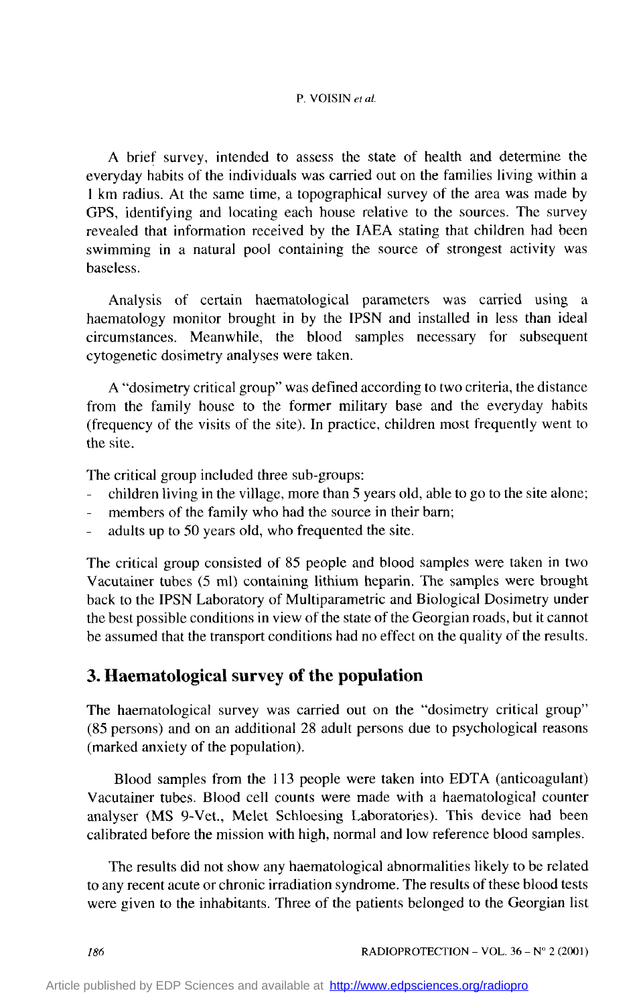#### **P.** VOISIN **el** *al.*

**A** brief survey, intended to assess the state of health and determine the everyday habits of the individuals was carried out on the families living within a **<sup>1</sup>**km radius. At the same time, a topographical survey of the area was made by GPS, identifying and locating each house relative to the sources. The survey revealed that information received by the IAEA stating that children had been swimming in a natural pool containing the source of strongest activity was baseless.

Analysis of certain haematological parameters was carried using a haematology monitor brought in by the IPSN and installed in less than ideal circurnstances. Meanwhile, the blood samples necessary for subsequent cytogenetic dosimetry analyses were taken.

**A** "dosimetry critical group" was defined according to two criteria, the distance from the family house to the former military base and the everyday habits (frequency of the visits of the site). In practice, children most frequently went to the site.

The critical group included three sub-groups:

- children living in the village, more than 5 years old, able to go to the site alone;
- members of the family Who had the source in their barn;
- adults up to 50 years old, Who frequented the site.

The critical group consisted of 85 people and blood samples were taken in two Vacutainer tubes (5 mi) containing lithium heparin. The samples were brought back to the IPSN Laboratory of Multiparametric and Biological Dosimetry under the best possible conditions in view of the state of the Georgian roads, but it cannot be assumed that the transport conditions had no effect on the quality of the results.

# **3. Haematological survey of the population**

The haematological survey was carried out on the "dosimetry critical group" (85 persons) and on an additional 28 adult persons due to psychological reasons (marked anxiety of the population).

Blood samples from the **113** people were taken into EDTA (anticoagulant) Vacutainer tubes. Blood ce11 counts were made with a haematological counter analyser (MS 9-Vet., Melet Schloesing Laboratories). This device had been calibrated before the mission with high, normal and low reference blood samples.

The results did not show any haematological abnormalities likely to be related to any recent acute or chronic irradiation syndrome. The results of these blood tests were given to the inhabitants. Three of the patients belonged to the Georgian list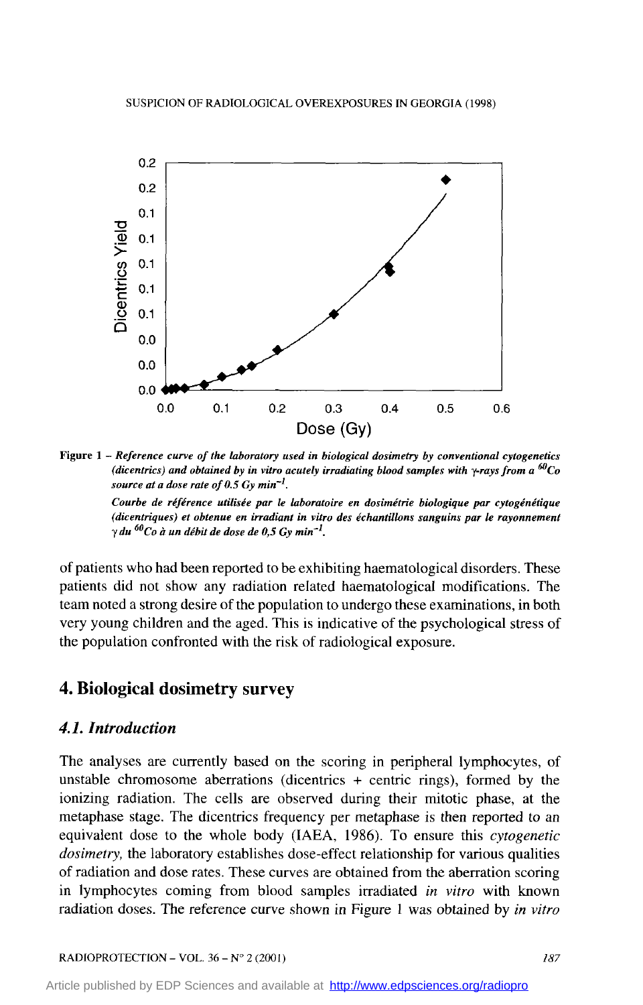

Figure  $1$  – Reference curve of the laboratory used in biological dosimetry by conventional cytogenetics (dicentrics) and obtained by in vitro acutely irradiating blood samples with  $\gamma$ -rays from a  $^{60}$ Co source at a dose rate of 0.5 Gy min<sup>-1</sup>.

Courbe de référence utilisée par le laboratoire en dosimétrie biologique par cytogénétique (dicentriques) et obtenue en irradiant in vitro des échantillons sanguins par le rayonnement  $\gamma$  du  $^{60}$ Co à un débit de dose de 0,5 Gy min<sup>-1</sup>.

of patients who had been reported to be exhibiting haematological disorders. These patients did not show any radiation related haematological modifications. The team noted a strong desire of the population to undergo these examinations, in both very young children and the aged. This is indicative of the psychological stress of the population confronted with the risk of radiological exposure.

# 4. Biological dosimetry survey

## 4.1. Introduction

The analyses are currently based on the scoring in peripheral lymphocytes, of unstable chromosome aberrations (dicentrics  $+$  centric rings), formed by the ionizing radiation. The cells are observed during their mitotic phase, at the metaphase stage. The dicentrics frequency per metaphase is then reported to an equivalent dose to the whole body (IAEA, 1986). To ensure this cytogenetic *dosimetry*, the laboratory establishes dose-effect relationship for various qualities of radiation and dose rates. These curves are obtained from the aberration scoring in lymphocytes coming from blood samples irradiated in vitro with known radiation doses. The reference curve shown in Figure 1 was obtained by in vitro

Article published by EDP Sciences and available at http://www.edpsciences.org/radiopro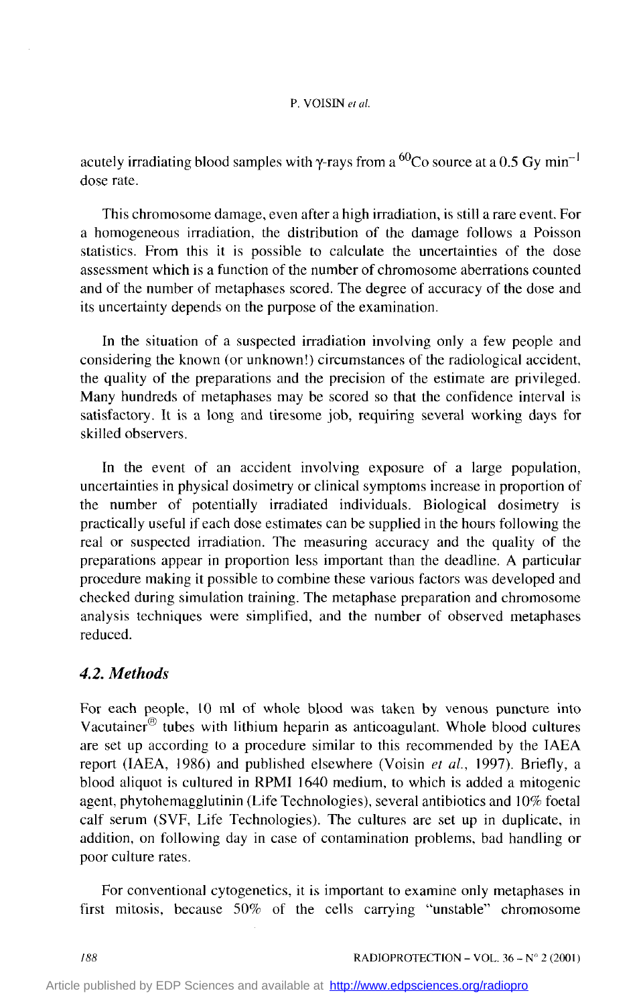#### **P.** VOISIN *rr <Il.*

acutely irradiating blood samples with  $\gamma$ -rays from a <sup>60</sup>Co source at a 0.5 Gy min<sup>-1</sup> dose rate.

This chromosome damage, even after a high irradiation, is still a rare event. For a homogeneous irradiation, the distribution of the damage follows a Poisson statistics. From this it is possible to calculate the uncertainties of the dose assessment which is a function of the number of chromosome aberrations counted and of the number of metaphases scored. The degree of accuracy of the dose and its uncertainty depends on the purpose of the examination.

In the situation of a suspected irradiation involving only a few people and considering the known (or unknown!) circumstances of the radiological accident, the quality of the preparations and the precision of the estimate are privileged. Many hundreds of metaphases may be scored so that the confidence interval is satisfactory. It is a long and tiresome job, requiring several working days for skilled observers.

In the event of an accident involving exposure of a large population, uncertainties in physical dosimetry or clinical symptoms increase in proportion of the number of potentially irradiated individuals. Biological dosimetry is practically useful if each dose estimates can be supplied in the hours following the real or suspected irradiation. The measuring accuracy and the quality of the preparations appear in proportion less important than the deadline. **A** particular procedure making it possible to combine these various factors was developed and checked during simulation training. The metaphase preparation and chromosome analysis techniques were simplified, and the number of observed metaphases reduced.

## *4.2. Methods*

For each people. 10 ml of whole blood was taken by venous puncture into Vacutainer $^{\circledR}$  tubes with lithium heparin as anticoagulant. Whole blood cultures are set up according to a procedure similar to this recommended by the **IAEA**  report **(IAEA,** 1986) and published elsewhere (Voisin *et al.,* 1997). Briefly, a blood aliquot is cultured in RPMI 1640 medium, to which is added a mitogenic agent, phytohemagglutinin (Life Technologies), several antibiotics and 10% foetal calf serum (SVF, Life Technologies). The cultures are set up in duplicate, in addition, on following day in case of contamination problems, bad handling or poor culture rates.

For conventional cytogenetics, it is important to examine only metaphases in first mitosis, because 50% of the cells carrying "unstable" chromosome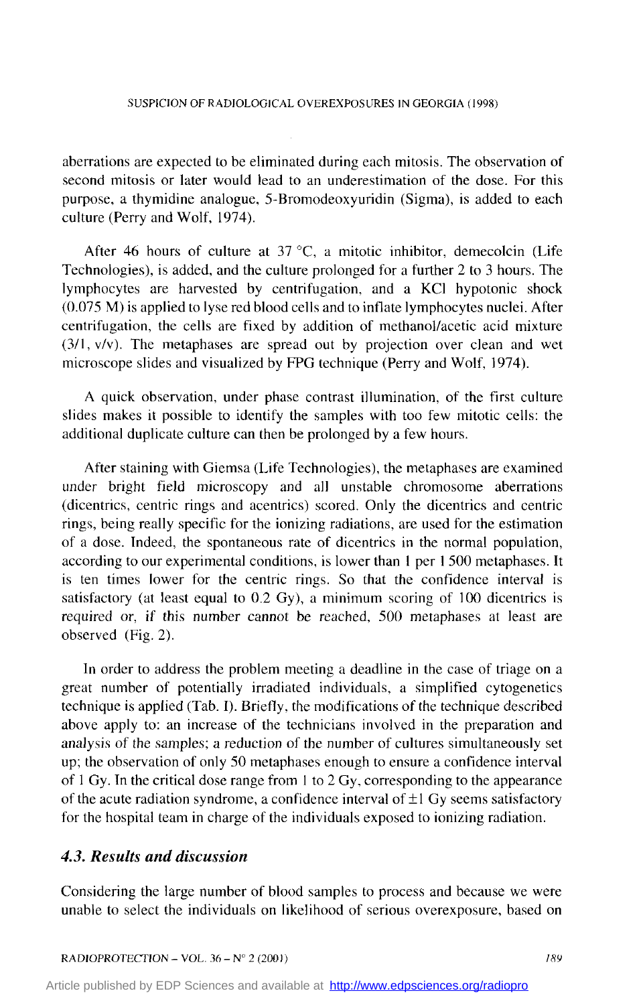aberrations are expected to be eliminated during each mitosis. The observation of second mitosis or later would lead to an underestimation of the dose. For this purpose, a thymidine analogue, 5-Bromodeoxyundin (Sigma), is added to each culture (Perry and Wolf, 1974).

After 46 hours of culture at  $37^{\circ}$ C, a mitotic inhibitor, demecolcin (Life Technologies), is added, and the culture prolonged for a further 2 to 3 hours. The lymphocytes are harvested by centrifugation, and a KCI hypotonic shock (0.075 M) is applied to lyse red blood cells and to inflate lymphocytes nuclei. After centrifugation, the cells are fixed by addition of methanol/acetic acid mixture  $(3/1, v/v)$ . The metaphases are spread out by projection over clean and wet microscope slides and visualized by FPG technique (Perry and Wolf, 1974).

A quick observation, under phase contrast illumination, of the first culture slides makes it possible to identify the samples with too few mitotic cells: the additional duplicate culture can then be prolonged by a few hours.

After staining with Giemsa (Life Technologies), the metaphases are examined under bright field microscopy and al1 unstable chromosome aberrations (dicentrics, centric rings and acentrics) scored. Only the dicentrics and centric rings, being really specific for the ionizing radiations, are used for the estimation of a dose. Indeed, the spontaneous rate of dicentrics in the normal population, according to Our experimental conditions, is lower than I per **1** 500 metaphases. It is ten times lower for the centric rings. So that the confidence interval is satisfactory (at least equal to  $0.2 \text{ Gy}$ ), a minimum scoring of  $100$  dicentrics is required or, if this number cannot be reached, 500 metaphases at least are observed (Fig. 2).

In order to address the problem meeting a deadline in the case of triage on a great number of potentially irradiated individuals, a simplified cytogenetics technique is applied (Tab. I). Briefly, the modifications of the technique described above apply to: an increase of the technicians involved in the preparation and analysis of the samples; a reduction of the number of cultures simultaneously set up; the observation of only 50 metaphases enough to ensure a confidence interval of 1 Gy. In the critical dose range from 1 to 2 Gy, corresponding to the appearance of the acute radiation syndrome, a confidence interval of  $\pm 1$  Gy seems satisfactory for the hospital team in charge of the individuals exposed to ionizing radiation.

## *4.3. Results and discussion*

Considering the large number of blood samples to process and because we were unable to select the individuals on Iikelihood of serious overexposure, based on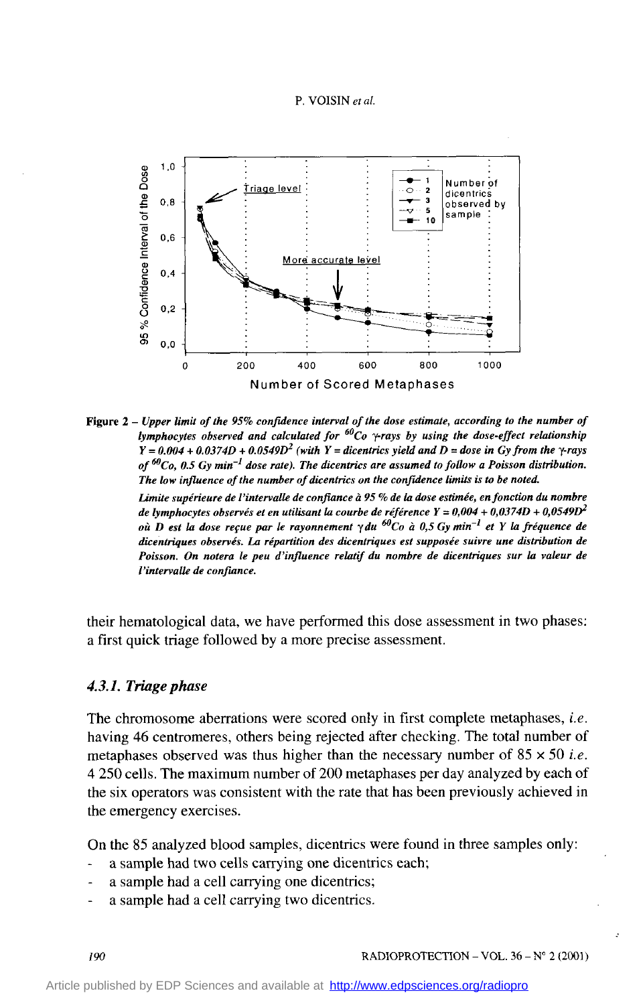#### **P.** VOISIN *et al.*



*Figure* **2** - *Upper iimit of the 95% confidence interval of the dose estime, according to the number of lymphocytes observed and calculated for*  $60C$ *o*  $\gamma$ *rays by using the dose-effect relationship*  $Y = 0.004 + 0.0374D + 0.0549D^2$  (with  $Y =$  dicentrics yield and  $D =$  dose in Gy from the  $\gamma$ -rays *of @Co, 0.5 Gy min-' dose rate). The dieentries are assumed to follow a Poisson distribution. The low influence of the number of dicentrics on the confidence limits is to be noted.* 

> *Limite supérieure de l'intervalle de conjïance* à *95 %de la dose estimée, en fonction du nombre de lymphocytes observés et en utilisant la courbe de référence*  $Y = 0,004 + 0,0374D + 0,0549D^2$ *où D est la dose reçue par le rayonnement ydu @Co* à *0,5 Gy min-' et Y la fréquence de aïcentriques observés. LO répartiîion des dicentriques est supposée suivre une distribuîion de Poisson. On noiera le peu d'influence relalif du nombre de dicentriques sur la valeur de l'intervalle de confunce.*

their hematological data, we have performed this dose assessment in two phases: a first quick triage followed by a more precise assessment.

## *4.3.1. Triage phase*

The chromosome aberrations were scored only in first complete metaphases, *i.e.*  having **46** centromeres, others being rejected after checking. The total number of metaphases observed was thus higher than the necessary number of  $85 \times 50$  *i.e.* **4** 250 cells. The maximum number of 200 metaphases per day analyzed by each of the six operators was consistent with the rate that has been previously acheved in the emergency exercises.

On the 85 analyzed blood samples, dicentrics were found in three samples only:

- a sample had two cells carrying one dicentrics each;
- a sample had a ce11 carrying one dicentrics;
- a sample had a ce11 carrying two dicentrics.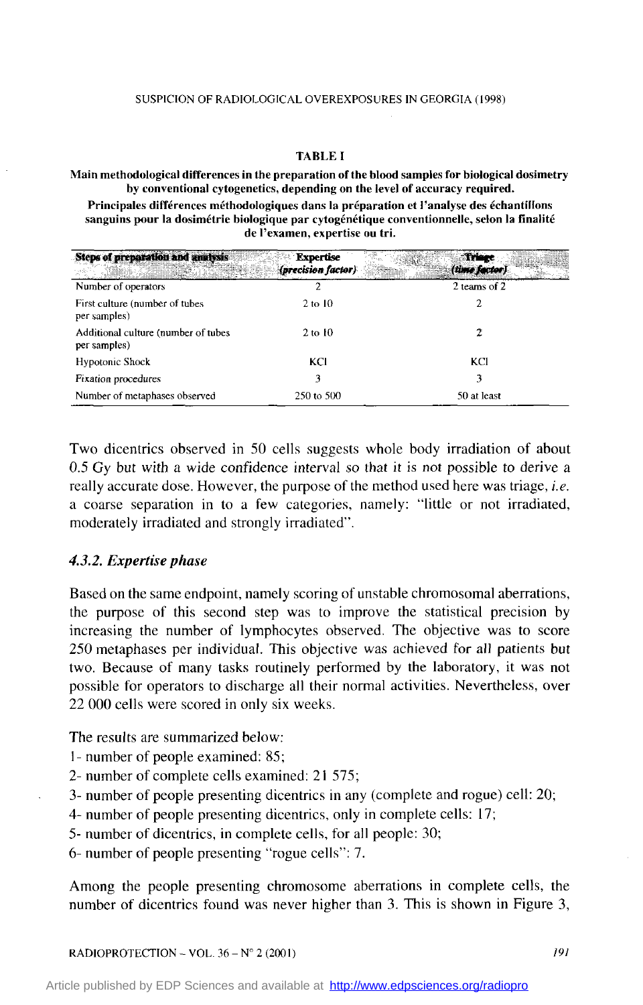#### **TABLE 1**

**Main methodological differences in the preparation of the blood samples for biological dosimetry by conventional cytogenetics, depending on the level of accuracy required.** 

Principales différences méthodologiques dans la préparation et l'analyse des échantillons **sanguins pour la dosimétrie biologique par cytogénétique conventionnelle, selon la finalité de l'examen, expertise ou tri.** 

| Steps of preparation and analysis                   | <b>Expertise</b><br>(precision factor) | Trinee<br>(time factor) |
|-----------------------------------------------------|----------------------------------------|-------------------------|
| Number of operators                                 |                                        | 2 teams of 2            |
| First culture (number of tubes)<br>per samples)     | $2$ to $10$                            |                         |
| Additional culture (number of tubes<br>per samples) | $2 \text{ to } 10$                     |                         |
| Hypotonic Shock                                     | KCI                                    | KCI                     |
| <b>Fixation</b> procedures                          | 3                                      |                         |
| Number of metaphases observed                       | 250 to 500                             | 50 at least             |

Two dicentrics observed in 50 cells suggests whole body irradiation of about 0.5 Gy but with a wide confidence interval so that it is not possible to derive a really accurate dose. However, the purpose of the method used here was triage, *i.e.*  a coarse separation in to a few categories, namely: "little or not irradiated, moderately irradiated and strongly irradiated".

## *4.3.2. Expertise phase*

Based on the same endpoint, namely scoring of unstable chromosomal aberrations, the purpose of this second step was to improve the statistical precision by increasing the number of lymphocytes observed. The objective was to score 250 metaphases per individual. This objective was achieved for **al1** patients but two. Because of many tasks routinely performed by the laboratory, it was not possible for operators to discharge al1 their normal activities. Nevertheless, over 22 O00 cells were scored in only six weeks.

The results are summarized below:

- <sup>1</sup> number of people examined: 85;
- 2- number of complete cells examined: 21 575;
- 3- number of people presenting dicentrics in any (complete and rogue) cell: 20;
- 4- number of people presenting dicentrics, only in complete cells: 17;
- *5-* number of dicentrics, in complete cells, for al1 people: 30;
- 6- number of people presenting "rogue cells": 7.

Among the people presenting chromosome aberrations in complete cells, the number of dicentrics found was never higher than 3. This is shown in Figure *3,*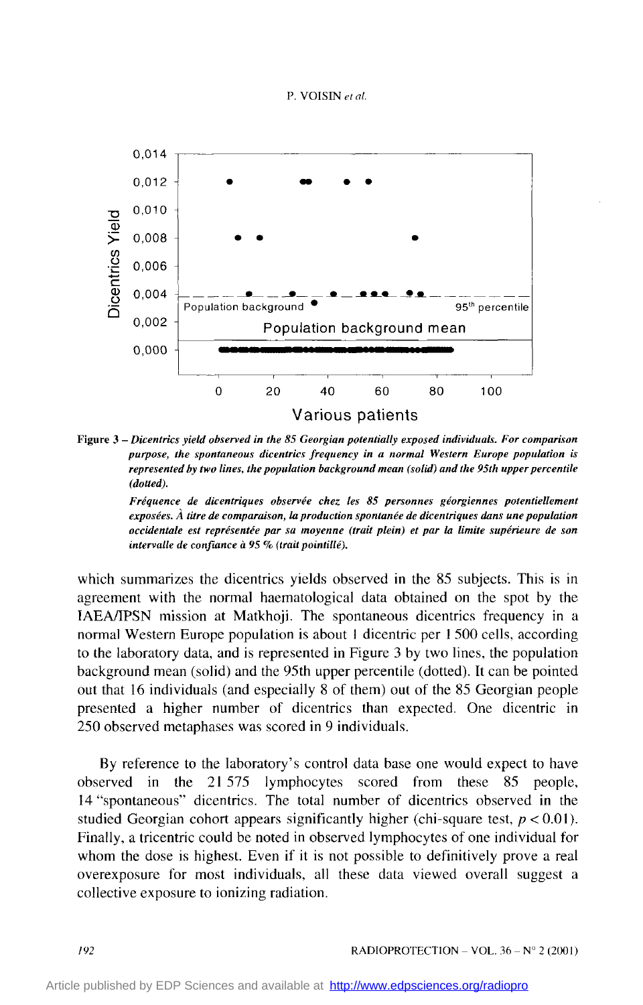



*Figure 3* - *Dicentrics yieid observed in the 85 Georgian potentiaily exposed individuals. For comparison purpose, Ihe spontaneous dicentrics frequency in a normal Western Europe population* **is**  *represented by two lines, the population background mean (solid) and the 95th upper percentile (dottedj.* 

*Fréquence de dicenh'ques observée chez les 85 personnes géorgiennes potentiellement exposées.* À *îiîre de comparaison, la production spontanée de dieentriques dans une population occidentale est représentée par sa moyenne (trait plein) et par la limite supétieure de son intervalle de confmnce* à *95 70 (trait pointillé).* 

which summarizes the dicentrics yields observed in the 85 subjects. This is in agreement with the normal haematological data obtained on the spot by the **IAEMPSN** mission at Matkhoji. The spontaneous dicentrics frequency in a normal Western Europe population is about 1 dicentric per **1** 500 cells, according to the laboratory data, and is represented in Figure *3* by two lines, the population background mean (solid) and the 95th upper percentile (dotted). It can be pointed out that 16 individuals (and especially 8 of them) out of the 85 Georgian people presented a higher number of dicentrics than expected. One dicentric in 250 observed metaphases was scored in 9 individuals.

By reference to the laboratory's control data base one would expect to have observed in the 21 575 lymphocytes scored from these 85 people, 14 "spontaneous" dicentrics. The total number of dicentrics observed in the studied Georgian cohort appears significantly higher (chi-square test,  $p < 0.01$ ). Finally, a tricentric could be noted in observed lymphocytes of one individual for whom the dose is highest. Even if it is not possible to definitively prove a real overexposure for most individuals, al1 these data viewed overall suggest a collective exposure to ionizing radiation.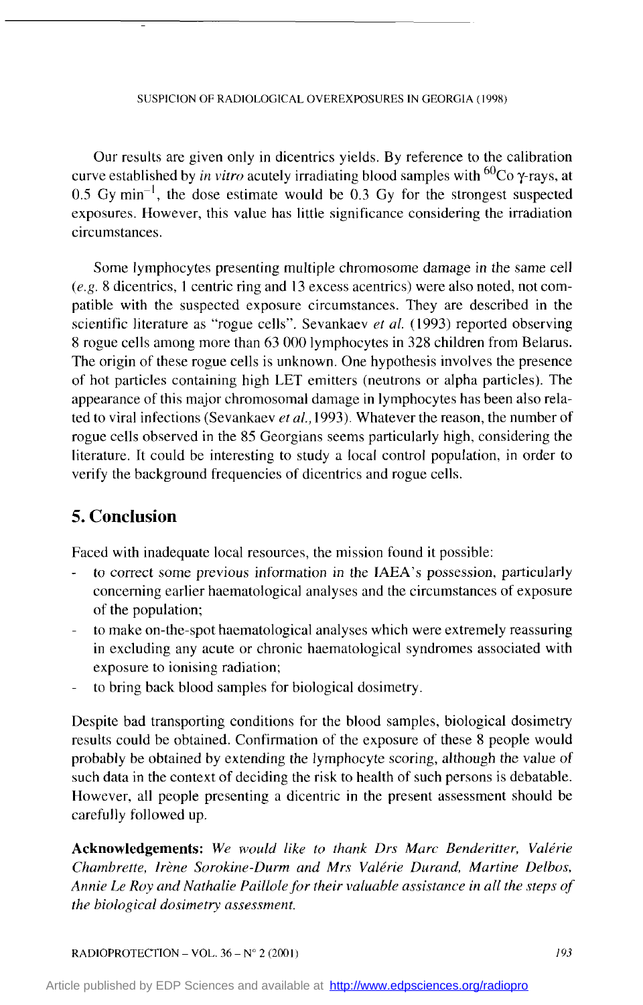#### **SUSPICION** OF RADIOLOGICAL OVEREXPOSURES IN GEORGIA (1998)

Our results are given only in dicentrics yields. By reference to the calibration curve established by *in vitro* acutely irradiating blood samples with  ${}^{60}Co$   $\gamma$ -rays, at  $0.5$  Gy min<sup>-1</sup>, the dose estimate would be 0.3 Gy for the strongest suspected exposures. However, this value has little significance considering the irradiation circumstances.

Some lymphocytes presenting multiple chromosome damage in the same ceIl  $(e, g, 8$  dicentrics, 1 centric ring and 13 excess acentrics) were also noted, not compatible with the suspected exposure circumstances. They are described in the scientific literature as "rogue cells". Sevankaev *et al.* (1993) reported observing 8 rogue cells among more than 63 O00 lymphocytes in 328 children from Belarus. The origin of these rogue cells is unknown. One hypothesis involves the presence of hot particles containing high LET emitters (neutrons or alpha particles). The appearance of this major chromosomal damage in lymphocytes has been also related to viral infections (Sevankaev *et al.,* 1993). Whatever the reason, the number of rogue cells observed in the 85 Georgians seems particularly high, considering the literature. It could be interesting to study a local control population, in order to verify the background frequencies of dicentrics and rogue cells.

# **5. Conclusion**

Faced with inadequate local resources, the mission found it possible:

- to correct some previous information in the **IAEA's** possession, particularly concerning earlier haematological analyses and the circumstances of exposure of the population;
- to make on-the-spot haematological analyses which were extremely reassuring in excluding any acute or chronic haematological syndromes associated with exposure to ionising radiation; -
- to bring back blood samples for biological dosimetry. -

Despite bad transporting conditions for the blood samples, biological dosimetry results could be obtained. Confirmation of the exposure of these 8 people would probably be obtained by extending the lymphocyte scoring, although the value of such data in the context of deciding the risk to health of such persons is debatable. However, al1 people presenting a dicentric in the present assessment should be carefully followed up,

**Acknowledgements:** *We would like to thank Drs Murc Benderitter, Valérie Chambrette, Irène Sorokine-Durm and Mrs Valérie Durand, Murtine Delbos, Annie Le Roy ad Nathalie Paillole for their valuable assistance in al1 the steps of the biological dosirnetiy assessment.*